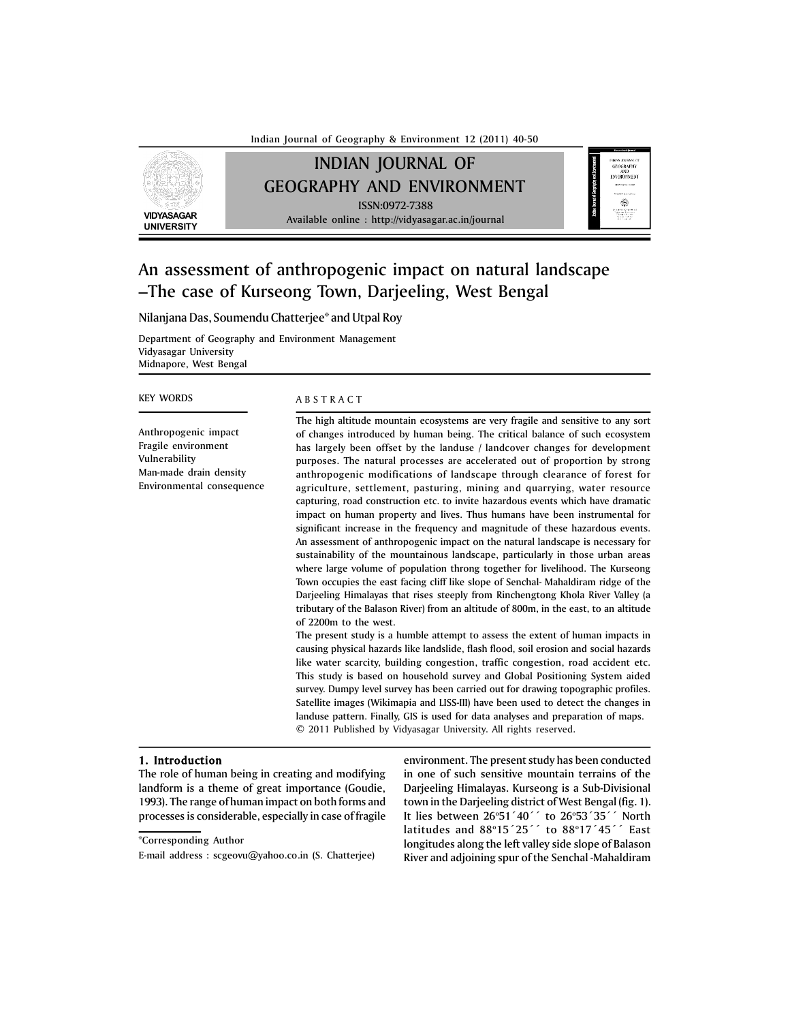Indian Journal of Geography & Environment 12 (2011) 40-50

# INDIAN JOURNAL OF GEOGRAPHY AND ENVIRONMENT ISSN:0972-7388 Available online : http://vidyasagar.ac.in/journal

**VIDYASAGAR UNIVERSITY**



# An assessment of anthropogenic impact on natural landscape –The case of Kurseong Town, Darjeeling, West Bengal

Nilanjana Das, Soumendu Chatterjee\* and Utpal Roy

Department of Geography and Environment Management Vidyasagar University Midnapore, West Bengal

## KEY WORDS

Anthropogenic impact Fragile environment Vulnerability Man-made drain density Environmental consequence

# A B S T R A C T

The high altitude mountain ecosystems are very fragile and sensitive to any sort of changes introduced by human being. The critical balance of such ecosystem has largely been offset by the landuse / landcover changes for development purposes. The natural processes are accelerated out of proportion by strong anthropogenic modifications of landscape through clearance of forest for agriculture, settlement, pasturing, mining and quarrying, water resource capturing, road construction etc. to invite hazardous events which have dramatic impact on human property and lives. Thus humans have been instrumental for significant increase in the frequency and magnitude of these hazardous events. An assessment of anthropogenic impact on the natural landscape is necessary for sustainability of the mountainous landscape, particularly in those urban areas where large volume of population throng together for livelihood. The Kurseong Town occupies the east facing cliff like slope of Senchal- Mahaldiram ridge of the Darjeeling Himalayas that rises steeply from Rinchengtong Khola River Valley (a tributary of the Balason River) from an altitude of 800m, in the east, to an altitude of 2200m to the west.

The present study is a humble attempt to assess the extent of human impacts in causing physical hazards like landslide, flash flood, soil erosion and social hazards like water scarcity, building congestion, traffic congestion, road accident etc. This study is based on household survey and Global Positioning System aided survey. Dumpy level survey has been carried out for drawing topographic profiles. Satellite images (Wikimapia and LISS-III) have been used to detect the changes in landuse pattern. Finally, GIS is used for data analyses and preparation of maps. © 2011 Published by Vidyasagar University. All rights reserved.

### 1. Introduction

The role of human being in creating and modifying landform is a theme of great importance (Goudie, 1993). The range of human impact on both forms and processes is considerable, especially in case of fragile environment. The present study has been conducted in one of such sensitive mountain terrains of the Darjeeling Himalayas. Kurseong is a Sub-Divisional town in the Darjeeling district of West Bengal (fig. 1). It lies between 26°51´40´´ to 26°53´35´´ North latitudes and 88°15´25´´ to 88°17´45´´ East longitudes along the left valley side slope of Balason River and adjoining spur of the Senchal -Mahaldiram

<sup>\*</sup>Corresponding Author

E-mail address : scgeovu@yahoo.co.in (S. Chatterjee)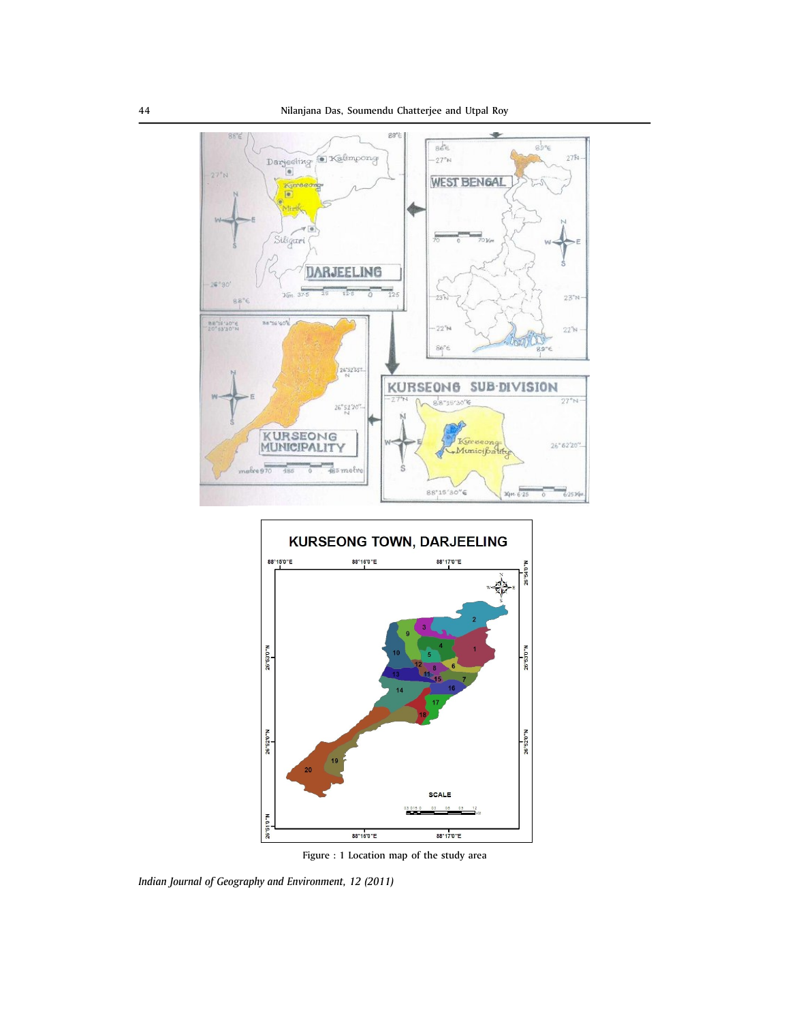



Figure : 1 Location map of the study area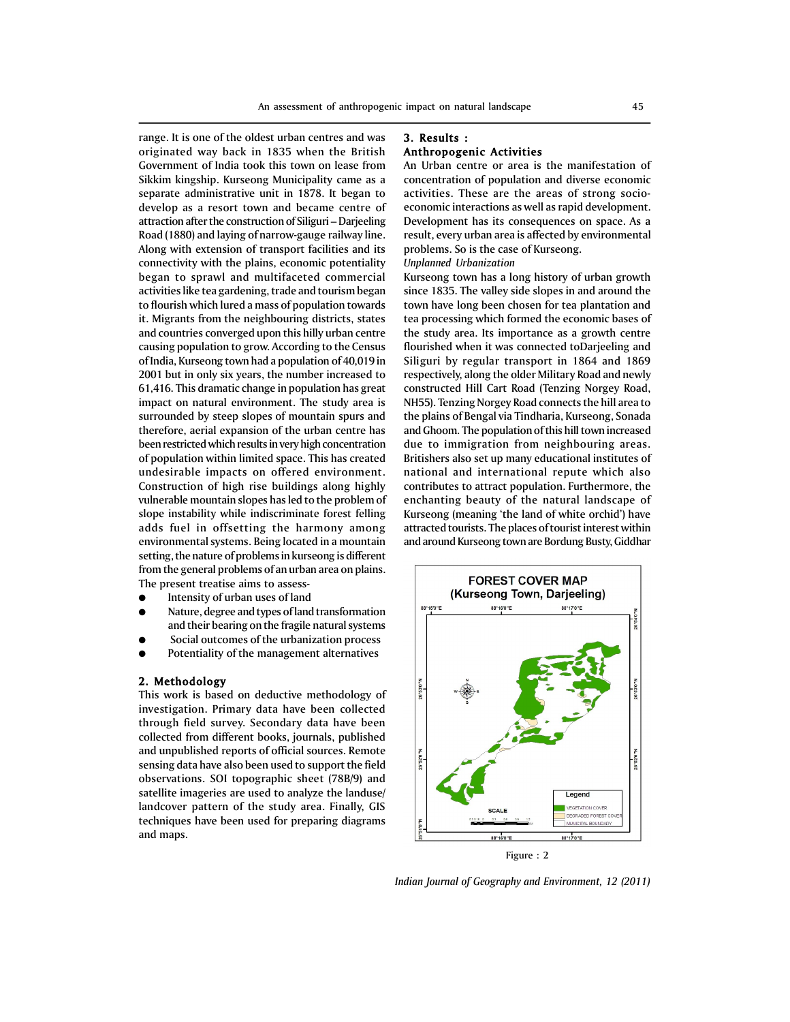range. It is one of the oldest urban centres and was originated way back in 1835 when the British Government of India took this town on lease from Sikkim kingship. Kurseong Municipality came as a separate administrative unit in 1878. It began to develop as a resort town and became centre of attraction after the construction of Siliguri – Darjeeling Road (1880) and laying of narrow-gauge railway line. Along with extension of transport facilities and its connectivity with the plains, economic potentiality began to sprawl and multifaceted commercial activities like tea gardening, trade and tourism began to flourish which lured a mass of population towards it. Migrants from the neighbouring districts, states and countries converged upon this hilly urban centre causing population to grow. According to the Census of India, Kurseong town had a population of 40,019 in 2001 but in only six years, the number increased to 61,416. This dramatic change in population has great impact on natural environment. The study area is surrounded by steep slopes of mountain spurs and therefore, aerial expansion of the urban centre has been restricted which results in very high concentration of population within limited space. This has created undesirable impacts on offered environment. Construction of high rise buildings along highly vulnerable mountain slopes has led to the problem of slope instability while indiscriminate forest felling adds fuel in offsetting the harmony among environmental systems. Being located in a mountain setting, the nature of problems in kurseong is different from the general problems of an urban area on plains. The present treatise aims to assess-

- Intensity of urban uses of land
- Nature, degree and types of land transformation and their bearing on the fragile natural systems
- Social outcomes of the urbanization process
- Potentiality of the management alternatives

# 2. Methodology

This work is based on deductive methodology of investigation. Primary data have been collected through field survey. Secondary data have been collected from different books, journals, published and unpublished reports of official sources. Remote sensing data have also been used to support the field observations. SOI topographic sheet (78B/9) and satellite imageries are used to analyze the landuse/ landcover pattern of the study area. Finally, GIS techniques have been used for preparing diagrams and maps.

# 3. Results : Anthropogenic Activities

An Urban centre or area is the manifestation of concentration of population and diverse economic activities. These are the areas of strong socioeconomic interactions as well as rapid development. Development has its consequences on space. As a result, every urban area is affected by environmental problems. So is the case of Kurseong.

# *Unplanned Urbanization*

Kurseong town has a long history of urban growth since 1835. The valley side slopes in and around the town have long been chosen for tea plantation and tea processing which formed the economic bases of the study area. Its importance as a growth centre flourished when it was connected toDarjeeling and Siliguri by regular transport in 1864 and 1869 respectively, along the older Military Road and newly constructed Hill Cart Road (Tenzing Norgey Road, NH55). Tenzing Norgey Road connects the hill area to the plains of Bengal via Tindharia, Kurseong, Sonada and Ghoom. The population of this hill town increased due to immigration from neighbouring areas. Britishers also set up many educational institutes of national and international repute which also contributes to attract population. Furthermore, the enchanting beauty of the natural landscape of Kurseong (meaning 'the land of white orchid') have attracted tourists. The places of tourist interest within and around Kurseong town are Bordung Busty, Giddhar



Figure : 2

*Indian Journal of Geography and Environment, 12 (2011)*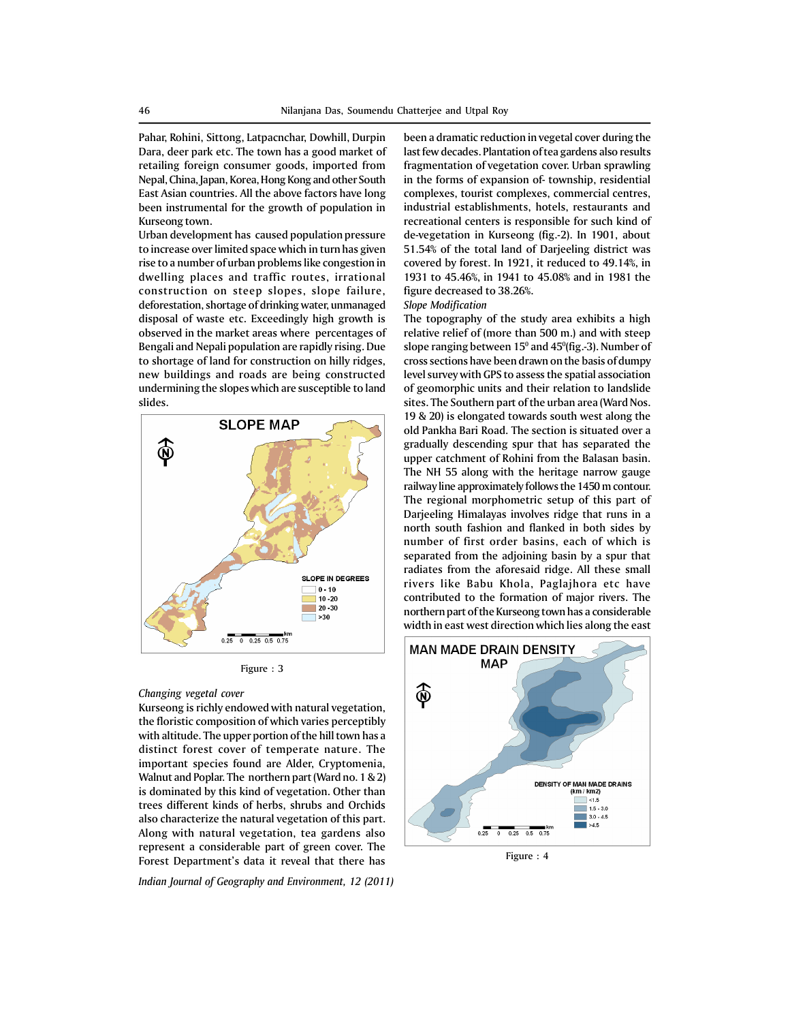Pahar, Rohini, Sittong, Latpacnchar, Dowhill, Durpin Dara, deer park etc. The town has a good market of retailing foreign consumer goods, imported from Nepal, China, Japan, Korea, Hong Kong and other South East Asian countries. All the above factors have long been instrumental for the growth of population in Kurseong town.

Urban development has caused population pressure to increase over limited space which in turn has given rise to a number of urban problems like congestion in dwelling places and traffic routes, irrational construction on steep slopes, slope failure, deforestation, shortage of drinking water, unmanaged disposal of waste etc. Exceedingly high growth is observed in the market areas where percentages of Bengali and Nepali population are rapidly rising. Due to shortage of land for construction on hilly ridges, new buildings and roads are being constructed undermining the slopes which are susceptible to land slides.



Figure : 3

# *Changing vegetal cover*

Kurseong is richly endowed with natural vegetation, the floristic composition of which varies perceptibly with altitude. The upper portion of the hill town has a distinct forest cover of temperate nature. The important species found are Alder, Cryptomenia, Walnut and Poplar. The northern part (Ward no. 1 & 2) is dominated by this kind of vegetation. Other than trees different kinds of herbs, shrubs and Orchids also characterize the natural vegetation of this part. Along with natural vegetation, tea gardens also represent a considerable part of green cover. The Forest Department's data it reveal that there has

*Indian Journal of Geography and Environment, 12 (2011)*

been a dramatic reduction in vegetal cover during the last few decades. Plantation of tea gardens also results fragmentation of vegetation cover. Urban sprawling in the forms of expansion of- township, residential complexes, tourist complexes, commercial centres, industrial establishments, hotels, restaurants and recreational centers is responsible for such kind of de-vegetation in Kurseong (fig.-2). In 1901, about 51.54% of the total land of Darjeeling district was covered by forest. In 1921, it reduced to 49.14%, in 1931 to 45.46%, in 1941 to 45.08% and in 1981 the figure decreased to 38.26%.

#### *Slope Modification*

The topography of the study area exhibits a high relative relief of (more than 500 m.) and with steep slope ranging between  $15^{\rm o}$  and  $45^{\rm o}$ (fig.-3). Number of cross sections have been drawn on the basis of dumpy level survey with GPS to assess the spatial association of geomorphic units and their relation to landslide sites. The Southern part of the urban area (Ward Nos. 19 & 20) is elongated towards south west along the old Pankha Bari Road. The section is situated over a gradually descending spur that has separated the upper catchment of Rohini from the Balasan basin. The NH 55 along with the heritage narrow gauge railway line approximately follows the 1450 m contour. The regional morphometric setup of this part of Darjeeling Himalayas involves ridge that runs in a north south fashion and flanked in both sides by number of first order basins, each of which is separated from the adjoining basin by a spur that radiates from the aforesaid ridge. All these small rivers like Babu Khola, Paglajhora etc have contributed to the formation of major rivers. The northern part of the Kurseong town has a considerable width in east west direction which lies along the east



Figure : 4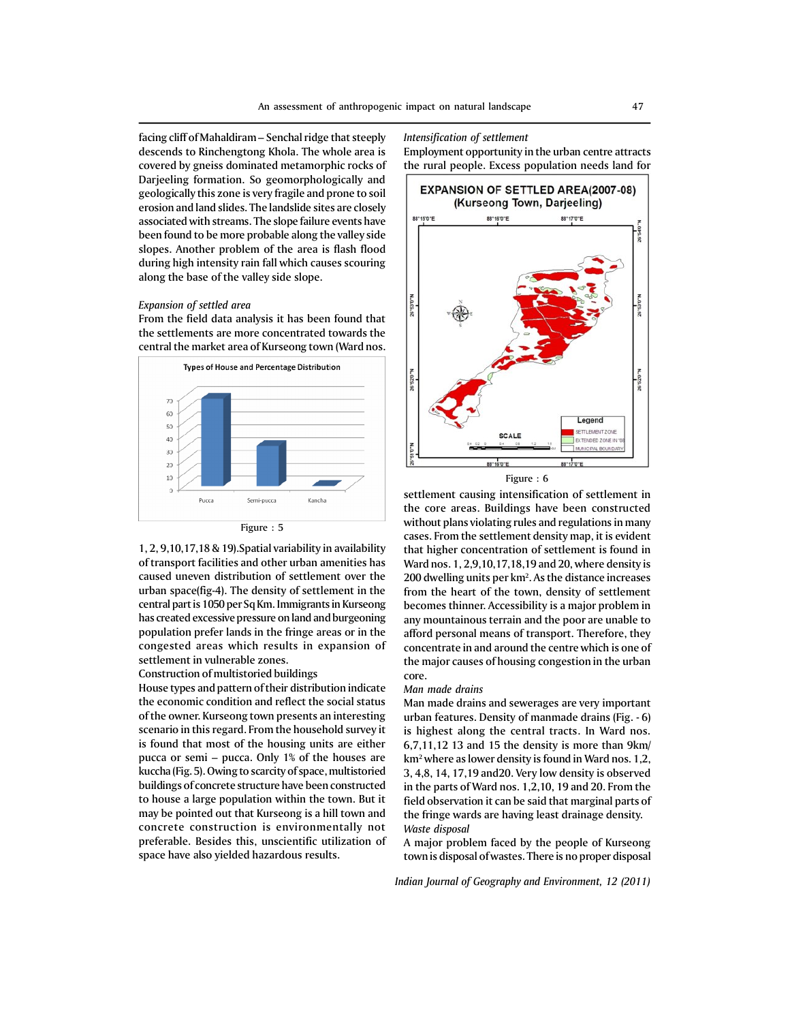facing cliff of Mahaldiram – Senchal ridge that steeply descends to Rinchengtong Khola. The whole area is covered by gneiss dominated metamorphic rocks of Darjeeling formation. So geomorphologically and geologically this zone is very fragile and prone to soil erosion and land slides. The landslide sites are closely associated with streams. The slope failure events have been found to be more probable along the valley side slopes. Another problem of the area is flash flood during high intensity rain fall which causes scouring along the base of the valley side slope.

# *Expansion of settled area*

From the field data analysis it has been found that the settlements are more concentrated towards the central the market area of Kurseong town (Ward nos.



Figure : 5

1, 2, 9,10,17,18 & 19).Spatial variability in availability of transport facilities and other urban amenities has caused uneven distribution of settlement over the urban space(fig-4). The density of settlement in the central part is 1050 per Sq Km. Immigrants in Kurseong has created excessive pressure on land and burgeoning population prefer lands in the fringe areas or in the congested areas which results in expansion of settlement in vulnerable zones.

## Construction of multistoried buildings

House types and pattern of their distribution indicate the economic condition and reflect the social status of the owner. Kurseong town presents an interesting scenario in this regard. From the household survey it is found that most of the housing units are either pucca or semi – pucca. Only 1% of the houses are kuccha (Fig. 5). Owing to scarcity of space, multistoried buildings of concrete structure have been constructed to house a large population within the town. But it may be pointed out that Kurseong is a hill town and concrete construction is environmentally not preferable. Besides this, unscientific utilization of space have also yielded hazardous results.

#### *Intensification of settlement*

Employment opportunity in the urban centre attracts the rural people. Excess population needs land for



Figure : 6

settlement causing intensification of settlement in the core areas. Buildings have been constructed without plans violating rules and regulations in many cases. From the settlement density map, it is evident that higher concentration of settlement is found in Ward nos. 1, 2,9,10,17,18,19 and 20, where density is 200 dwelling units per km<sup>2</sup>. As the distance increases from the heart of the town, density of settlement becomes thinner. Accessibility is a major problem in any mountainous terrain and the poor are unable to afford personal means of transport. Therefore, they concentrate in and around the centre which is one of the major causes of housing congestion in the urban core.

#### *Man made drains*

Man made drains and sewerages are very important urban features. Density of manmade drains (Fig. - 6) is highest along the central tracts. In Ward nos. 6,7,11,12 13 and 15 the density is more than 9km/ km2 where as lower density is found in Ward nos. 1,2, 3, 4,8, 14, 17,19 and20. Very low density is observed in the parts of Ward nos. 1,2,10, 19 and 20. From the field observation it can be said that marginal parts of the fringe wards are having least drainage density. *Waste disposal*

A major problem faced by the people of Kurseong town is disposal of wastes. There is no proper disposal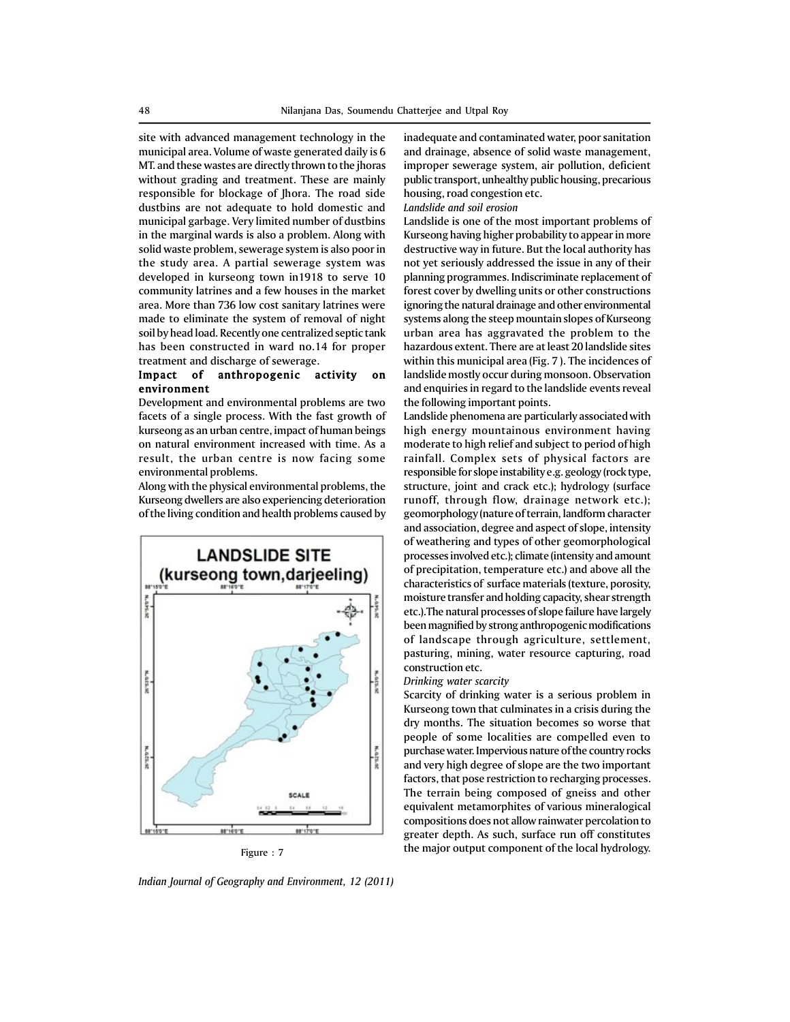site with advanced management technology in the municipal area. Volume of waste generated daily is 6 MT. and these wastes are directly thrown to the jhoras without grading and treatment. These are mainly responsible for blockage of Jhora. The road side dustbins are not adequate to hold domestic and municipal garbage. Very limited number of dustbins in the marginal wards is also a problem. Along with solid waste problem, sewerage system is also poor in the study area. A partial sewerage system was developed in kurseong town in1918 to serve 10 community latrines and a few houses in the market area. More than 736 low cost sanitary latrines were made to eliminate the system of removal of night soil by head load. Recently one centralized septic tank has been constructed in ward no.14 for proper treatment and discharge of sewerage.

# Impact of anthropogenic activity on environment

Development and environmental problems are two facets of a single process. With the fast growth of kurseong as an urban centre, impact of human beings on natural environment increased with time. As a result, the urban centre is now facing some environmental problems.

Along with the physical environmental problems, the Kurseong dwellers are also experiencing deterioration of the living condition and health problems caused by





*Indian Journal of Geography and Environment, 12 (2011)*

inadequate and contaminated water, poor sanitation and drainage, absence of solid waste management, improper sewerage system, air pollution, deficient public transport, unhealthy public housing, precarious housing, road congestion etc.

*Landslide and soil erosion*

Landslide is one of the most important problems of Kurseong having higher probability to appear in more destructive way in future. But the local authority has not yet seriously addressed the issue in any of their planning programmes. Indiscriminate replacement of forest cover by dwelling units or other constructions ignoring the natural drainage and other environmental systems along the steep mountain slopes of Kurseong urban area has aggravated the problem to the hazardous extent. There are at least 20 landslide sites within this municipal area (Fig. 7 ). The incidences of landslide mostly occur during monsoon. Observation and enquiries in regard to the landslide events reveal the following important points.

Landslide phenomena are particularly associated with high energy mountainous environment having moderate to high relief and subject to period of high rainfall. Complex sets of physical factors are responsible for slope instability e.g. geology (rock type, structure, joint and crack etc.); hydrology (surface runoff, through flow, drainage network etc.); geomorphology (nature of terrain, landform character and association, degree and aspect of slope, intensity of weathering and types of other geomorphological processes involved etc.); climate (intensity and amount of precipitation, temperature etc.) and above all the characteristics of surface materials (texture, porosity, moisture transfer and holding capacity, shear strength etc.).The natural processes of slope failure have largely been magnified by strong anthropogenic modifications of landscape through agriculture, settlement, pasturing, mining, water resource capturing, road construction etc.

# *Drinking water scarcity*

Scarcity of drinking water is a serious problem in Kurseong town that culminates in a crisis during the dry months. The situation becomes so worse that people of some localities are compelled even to purchase water. Impervious nature of the country rocks and very high degree of slope are the two important factors, that pose restriction to recharging processes. The terrain being composed of gneiss and other equivalent metamorphites of various mineralogical compositions does not allow rainwater percolation to greater depth. As such, surface run off constitutes the major output component of the local hydrology. Figure : 7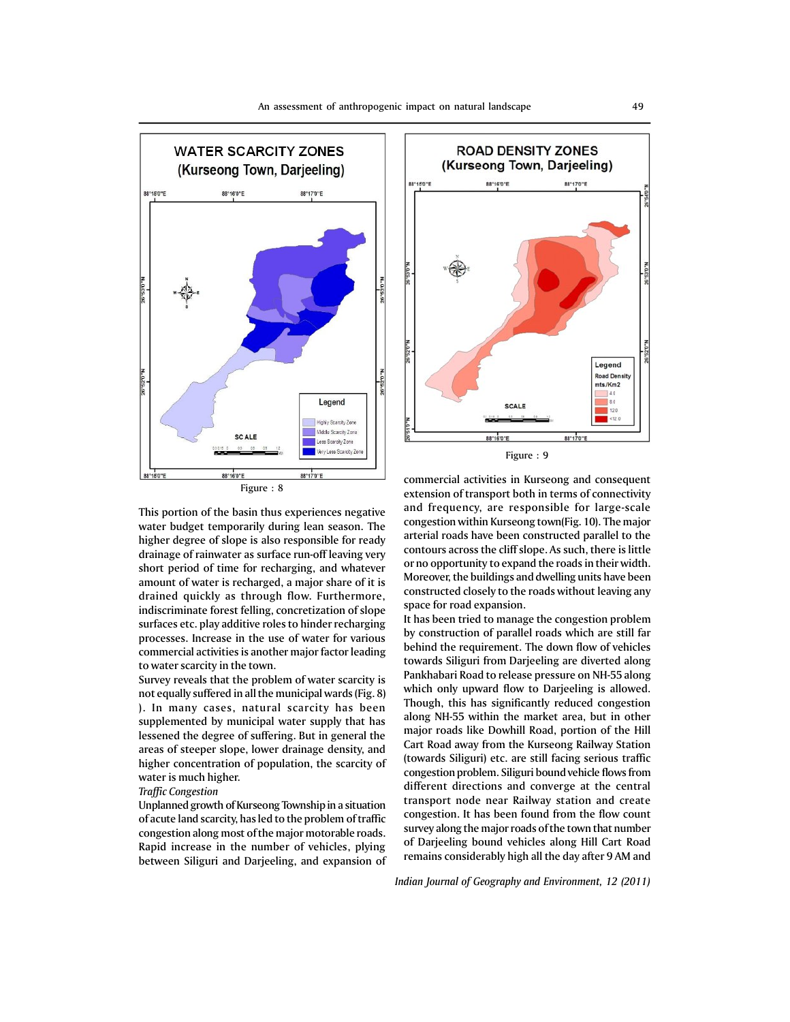

This portion of the basin thus experiences negative water budget temporarily during lean season. The higher degree of slope is also responsible for ready drainage of rainwater as surface run-off leaving very short period of time for recharging, and whatever amount of water is recharged, a major share of it is drained quickly as through flow. Furthermore, indiscriminate forest felling, concretization of slope surfaces etc. play additive roles to hinder recharging processes. Increase in the use of water for various commercial activities is another major factor leading to water scarcity in the town.

Survey reveals that the problem of water scarcity is not equally suffered in all the municipal wards (Fig. 8) ). In many cases, natural scarcity has been supplemented by municipal water supply that has lessened the degree of suffering. But in general the areas of steeper slope, lower drainage density, and higher concentration of population, the scarcity of water is much higher.

# *Traffic Congestion*

Unplanned growth of Kurseong Township in a situation of acute land scarcity, has led to the problem of traffic congestion along most of the major motorable roads. Rapid increase in the number of vehicles, plying between Siliguri and Darjeeling, and expansion of



commercial activities in Kurseong and consequent extension of transport both in terms of connectivity and frequency, are responsible for large-scale congestion within Kurseong town(Fig. 10). The major arterial roads have been constructed parallel to the contours across the cliff slope. As such, there is little or no opportunity to expand the roads in their width. Moreover, the buildings and dwelling units have been constructed closely to the roads without leaving any space for road expansion.

It has been tried to manage the congestion problem by construction of parallel roads which are still far behind the requirement. The down flow of vehicles towards Siliguri from Darjeeling are diverted along Pankhabari Road to release pressure on NH-55 along which only upward flow to Darjeeling is allowed. Though, this has significantly reduced congestion along NH-55 within the market area, but in other major roads like Dowhill Road, portion of the Hill Cart Road away from the Kurseong Railway Station (towards Siliguri) etc. are still facing serious traffic congestion problem. Siliguri bound vehicle flows from different directions and converge at the central transport node near Railway station and create congestion. It has been found from the flow count survey along the major roads of the town that number of Darjeeling bound vehicles along Hill Cart Road remains considerably high all the day after 9 AM and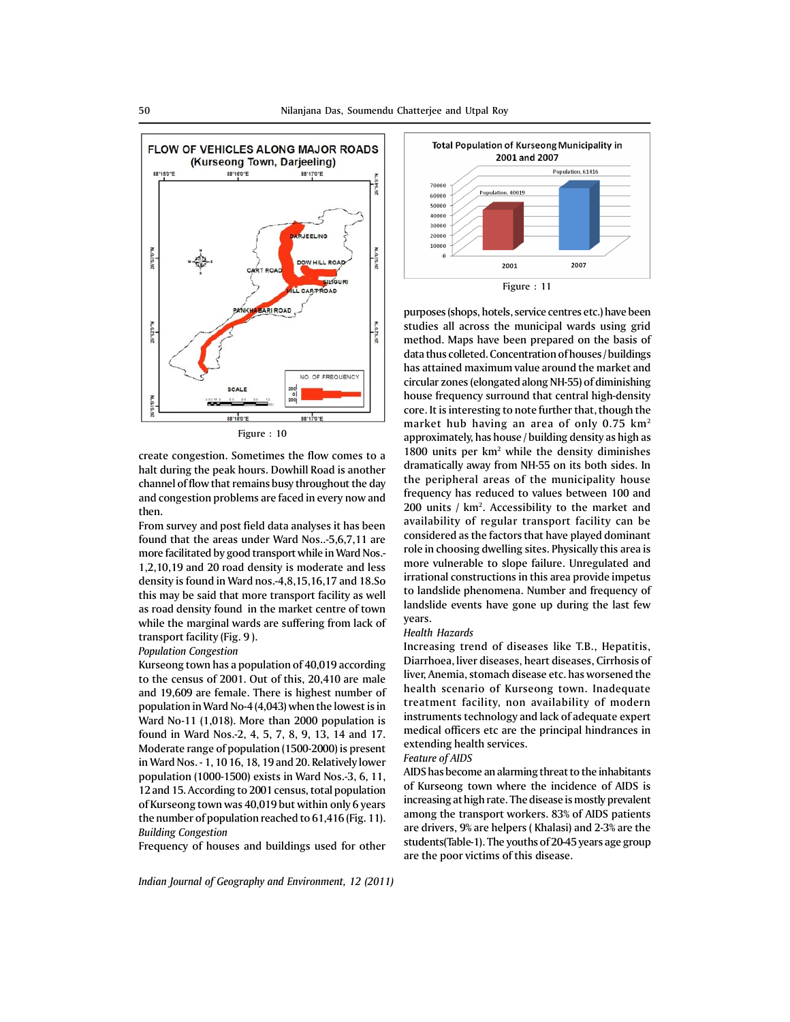

create congestion. Sometimes the flow comes to a halt during the peak hours. Dowhill Road is another channel of flow that remains busy throughout the day and congestion problems are faced in every now and then.

From survey and post field data analyses it has been found that the areas under Ward Nos..-5,6,7,11 are more facilitated by good transport while in Ward Nos.- 1,2,10,19 and 20 road density is moderate and less density is found in Ward nos.-4,8,15,16,17 and 18.So this may be said that more transport facility as well as road density found in the market centre of town while the marginal wards are suffering from lack of transport facility (Fig. 9 ).

#### *Population Congestion*

Kurseong town has a population of 40,019 according to the census of 2001. Out of this, 20,410 are male and 19,609 are female. There is highest number of population in Ward No-4 (4,043) when the lowest is in Ward No-11 (1,018). More than 2000 population is found in Ward Nos.-2, 4, 5, 7, 8, 9, 13, 14 and 17. Moderate range of population (1500-2000) is present in Ward Nos. - 1, 10 16, 18, 19 and 20. Relatively lower population (1000-1500) exists in Ward Nos.-3, 6, 11, 12 and 15. According to 2001 census, total population of Kurseong town was 40,019 but within only 6 years the number of population reached to 61,416 (Fig. 11). *Building Congestion*

Frequency of houses and buildings used for other

*Indian Journal of Geography and Environment, 12 (2011)*



purposes (shops, hotels, service centres etc.) have been studies all across the municipal wards using grid method. Maps have been prepared on the basis of data thus colleted. Concentration of houses / buildings has attained maximum value around the market and circular zones (elongated along NH-55) of diminishing house frequency surround that central high-density core. It is interesting to note further that, though the market hub having an area of only 0.75 km2 approximately, has house / building density as high as 1800 units per km<sup>2</sup> while the density diminishes dramatically away from NH-55 on its both sides. In the peripheral areas of the municipality house frequency has reduced to values between 100 and 200 units / km<sup>2</sup>. Accessibility to the market and availability of regular transport facility can be considered as the factors that have played dominant role in choosing dwelling sites. Physically this area is more vulnerable to slope failure. Unregulated and irrational constructions in this area provide impetus to landslide phenomena. Number and frequency of landslide events have gone up during the last few years.

#### *Health Hazards*

Increasing trend of diseases like T.B., Hepatitis, Diarrhoea, liver diseases, heart diseases, Cirrhosis of liver, Anemia, stomach disease etc. has worsened the health scenario of Kurseong town. Inadequate treatment facility, non availability of modern instruments technology and lack of adequate expert medical officers etc are the principal hindrances in extending health services.

# *Feature of AIDS*

AIDS has become an alarming threat to the inhabitants of Kurseong town where the incidence of AIDS is increasing at high rate. The disease is mostly prevalent among the transport workers. 83% of AIDS patients are drivers, 9% are helpers ( Khalasi) and 2-3% are the students(Table-1). The youths of 20-45 years age group are the poor victims of this disease.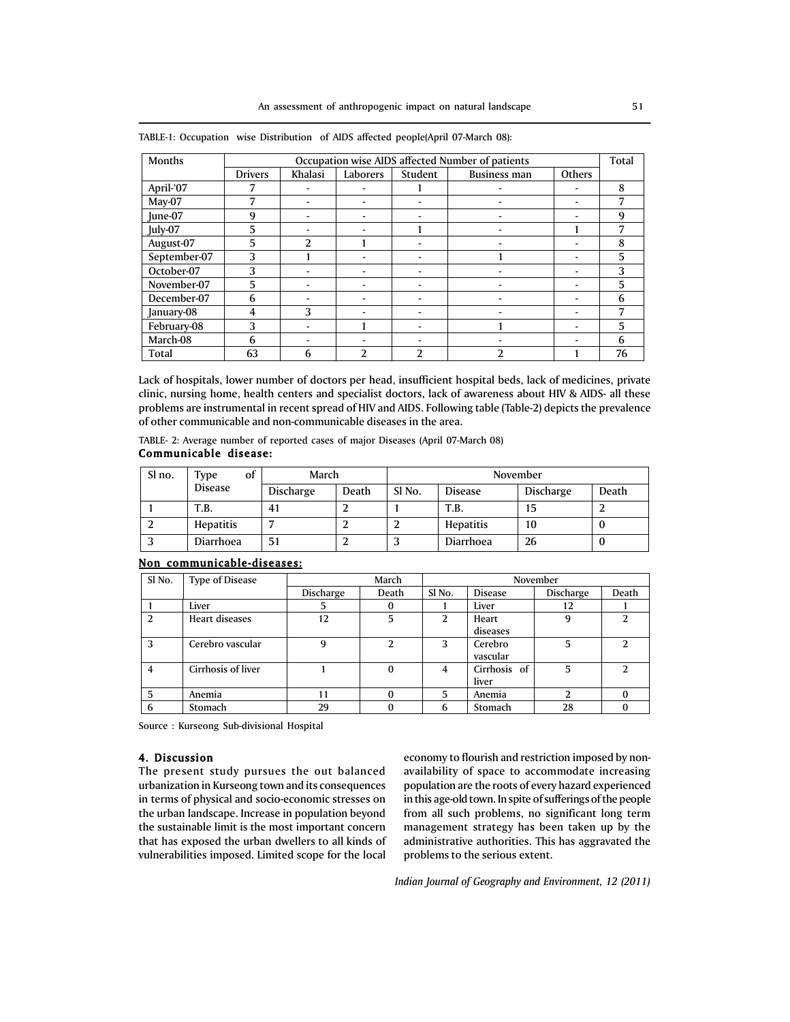| Months       | Occupation wise AIDS affected Number of patients |                |          |                |                     |        | Total |
|--------------|--------------------------------------------------|----------------|----------|----------------|---------------------|--------|-------|
|              | <b>Drivers</b>                                   | Khalasi        | Laborers | Student        | <b>Business man</b> | Others |       |
| April-'07    | 7                                                |                |          |                |                     |        | 8     |
| May-07       | 7                                                | -              |          |                |                     | -      | 7     |
| June-07      | 9                                                |                |          |                |                     |        | 9     |
| July-07      | 5                                                | -              |          |                | ۰                   |        | 7     |
| August-07    | 5                                                | $\overline{2}$ |          | -              |                     |        | 8     |
| September-07 | 3                                                |                |          |                |                     |        | 5     |
| October-07   | 3                                                |                |          |                |                     |        | 3     |
| November-07  | 5                                                |                |          |                |                     |        | 5     |
| December-07  | 6                                                |                |          |                |                     |        | 6     |
| January-08   | 4                                                | 3              |          | -              | -                   |        | 7     |
| February-08  | 3                                                | ٠              |          |                |                     |        | 5     |
| March-08     | 6                                                |                |          |                |                     |        | 6     |
| Total        | 63                                               | 6              | っ        | $\overline{2}$ | 2                   |        | 76    |

TABLE-1: Occupation wise Distribution of AIDS affected people(April 07-March 08):

Lack of hospitals, lower number of doctors per head, insufficient hospital beds, lack of medicines, private clinic, nursing home, health centers and specialist doctors, lack of awareness about HIV & AIDS- all these problems are instrumental in recent spread of HIV and AIDS. Following table (Table-2) depicts the prevalence of other communicable and non-communicable diseases in the area.

TABLE- 2: Average number of reported cases of major Diseases (April 07-March 08) Communicable disease:

| Sl no. | οf<br>Type     | March            |       | November |                |                  |       |  |
|--------|----------------|------------------|-------|----------|----------------|------------------|-------|--|
|        | <b>Disease</b> | <b>Discharge</b> | Death | Sl No.   | <b>Disease</b> | <b>Discharge</b> | Death |  |
|        | T.B.           | 41               |       |          | T.B.           | 15               |       |  |
|        | Hepatitis      |                  |       |          | Hepatitis      | 10               | v     |  |
|        | Diarrhoea      | 51               |       |          | Diarrhoea      | 26               | v     |  |

# Non communicable-diseases:

| Sl <sub>No.</sub> | <b>Type of Disease</b> |           | March    |               |                | November  |               |
|-------------------|------------------------|-----------|----------|---------------|----------------|-----------|---------------|
|                   |                        | Discharge | Death    | Sl No.        | <b>Disease</b> | Discharge | Death         |
|                   | Liver                  |           | 0        |               | Liver          | 12        |               |
| 2                 | Heart diseases         | 12        | 5        | $\mathcal{L}$ | Heart          | 9         | $\mathcal{P}$ |
|                   |                        |           |          |               | diseases       |           |               |
| 3                 | Cerebro vascular       | 9         | 2        | 3             | Cerebro        | 5         | $\mathcal{P}$ |
|                   |                        |           |          |               | vascular       |           |               |
| 4                 | Cirrhosis of liver     |           | $\bf{0}$ | 4             | Cirrhosis of   | 5         | $\mathcal{L}$ |
|                   |                        |           |          |               | liver          |           |               |
| 5                 | Anemia                 | 11        | $\Omega$ | 5             | Anemia         | ำ         | 0             |
| 6                 | Stomach                | 29        | 0        | 6             | Stomach        | 28        |               |

Source : Kurseong Sub-divisional Hospital

## 4. Discussion

The present study pursues the out balanced urbanization in Kurseong town and its consequences in terms of physical and socio-economic stresses on the urban landscape. Increase in population beyond the sustainable limit is the most important concern that has exposed the urban dwellers to all kinds of vulnerabilities imposed. Limited scope for the local economy to flourish and restriction imposed by nonavailability of space to accommodate increasing population are the roots of every hazard experienced in this age-old town. In spite of sufferings of the people from all such problems, no significant long term management strategy has been taken up by the administrative authorities. This has aggravated the problems to the serious extent.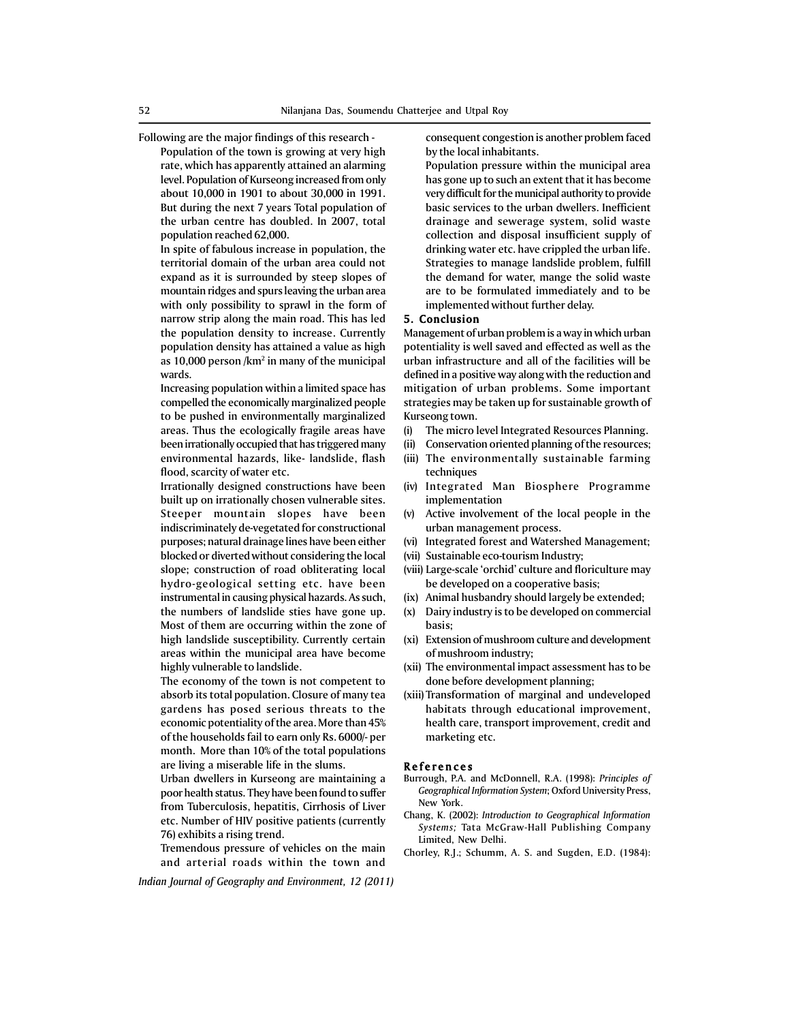Following are the major findings of this research -

Population of the town is growing at very high rate, which has apparently attained an alarming level. Population of Kurseong increased from only about 10,000 in 1901 to about 30,000 in 1991. But during the next 7 years Total population of the urban centre has doubled. In 2007, total population reached 62,000.

In spite of fabulous increase in population, the territorial domain of the urban area could not expand as it is surrounded by steep slopes of mountain ridges and spurs leaving the urban area with only possibility to sprawl in the form of narrow strip along the main road. This has led the population density to increase. Currently population density has attained a value as high as 10,000 person /km² in many of the municipal wards.

Increasing population within a limited space has compelled the economically marginalized people to be pushed in environmentally marginalized areas. Thus the ecologically fragile areas have been irrationally occupied that has triggered many environmental hazards, like- landslide, flash flood, scarcity of water etc.

Irrationally designed constructions have been built up on irrationally chosen vulnerable sites. Steeper mountain slopes have been indiscriminately de-vegetated for constructional purposes; natural drainage lines have been either blocked or diverted without considering the local slope; construction of road obliterating local hydro-geological setting etc. have been instrumental in causing physical hazards. As such, the numbers of landslide sties have gone up. Most of them are occurring within the zone of high landslide susceptibility. Currently certain areas within the municipal area have become highly vulnerable to landslide.

The economy of the town is not competent to absorb its total population. Closure of many tea gardens has posed serious threats to the economic potentiality of the area. More than 45% of the households fail to earn only Rs. 6000/- per month. More than 10% of the total populations are living a miserable life in the slums.

Urban dwellers in Kurseong are maintaining a poor health status. They have been found to suffer from Tuberculosis, hepatitis, Cirrhosis of Liver etc. Number of HIV positive patients (currently 76) exhibits a rising trend.

Tremendous pressure of vehicles on the main and arterial roads within the town and

*Indian Journal of Geography and Environment, 12 (2011)*

consequent congestion is another problem faced by the local inhabitants.

Population pressure within the municipal area has gone up to such an extent that it has become very difficult for the municipal authority to provide basic services to the urban dwellers. Inefficient drainage and sewerage system, solid waste collection and disposal insufficient supply of drinking water etc. have crippled the urban life. Strategies to manage landslide problem, fulfill the demand for water, mange the solid waste are to be formulated immediately and to be implemented without further delay.

## 5. Conclusion

Management of urban problem is a way in which urban potentiality is well saved and effected as well as the urban infrastructure and all of the facilities will be defined in a positive way along with the reduction and mitigation of urban problems. Some important strategies may be taken up for sustainable growth of Kurseong town.

- (i) The micro level Integrated Resources Planning.
- (ii) Conservation oriented planning of the resources;
- (iii) The environmentally sustainable farming techniques
- (iv) Integrated Man Biosphere Programme implementation
- (v) Active involvement of the local people in the urban management process.
- (vi) Integrated forest and Watershed Management;
- (vii) Sustainable eco-tourism Industry;
- (viii) Large-scale 'orchid' culture and floriculture may be developed on a cooperative basis;
- (ix) Animal husbandry should largely be extended;
- (x) Dairy industry is to be developed on commercial basis;
- (xi) Extension of mushroom culture and development of mushroom industry;
- (xii) The environmental impact assessment has to be done before development planning;
- (xiii) Transformation of marginal and undeveloped habitats through educational improvement, health care, transport improvement, credit and marketing etc.

## **References**

- Burrough, P.A. and McDonnell, R.A. (1998): *Principles of Geographical Information System*; Oxford University Press, New York.
- Chang, K. (2002): *Introduction to Geographical Information Systems;* Tata McGraw-Hall Publishing Company Limited, New Delhi.
- Chorley, R.J.; Schumm, A. S. and Sugden, E.D. (1984):